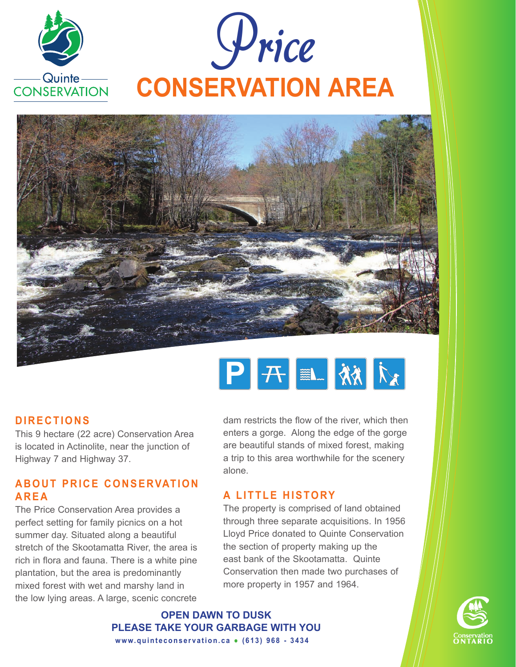





## **D I R E C T I O N S**

This 9 hectare (22 acre) Conservation Area is located in Actinolite, near the junction of Highway 7 and Highway 37.

## **ABOUT PRICE CONSERVATION A R E A**

The Price Conservation Area provides a perfect setting for family picnics on a hot summer day. Situated along a beautiful stretch of the Skootamatta River, the area is rich in flora and fauna. There is a white pine plantation, but the area is predominantly mixed forest with wet and marshy land in the low lying areas. A large, scenic concrete dam restricts the flow of the river, which then enters a gorge. Along the edge of the gorge are beautiful stands of mixed forest, making a trip to this area worthwhile for the scenery alone.

## **A LITTLE HISTORY**

The property is comprised of land obtained through three separate acquisitions. In 1956 Lloyd Price donated to Quinte Conservation the section of property making up the east bank of the Skootamatta. Quinte Conservation then made two purchases of more property in 1957 and 1964.

**Open Dawn to Dusk Please take your garbage with you www.quinteconservation.ca • (613) 968 - 3434**